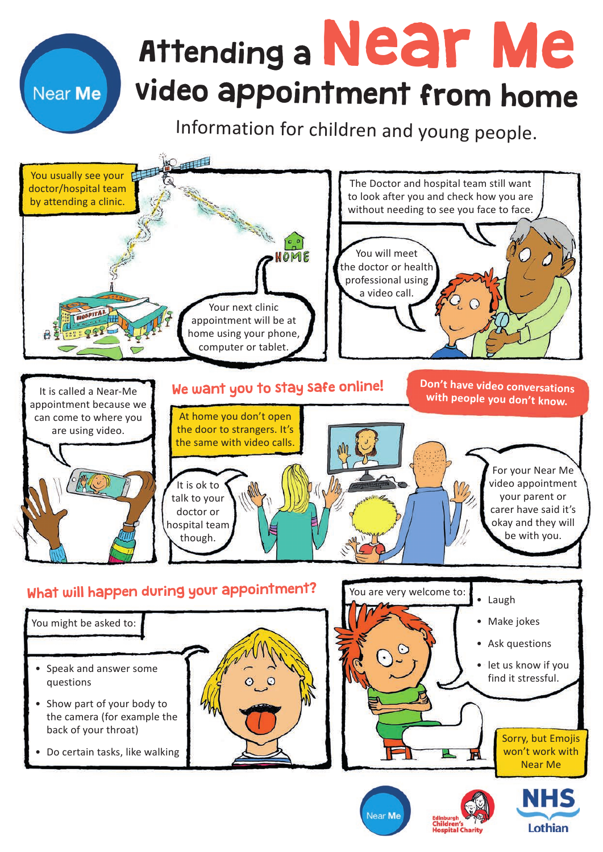## Attending a Near Me video appointment from home

Near Me

Information for children and young people.